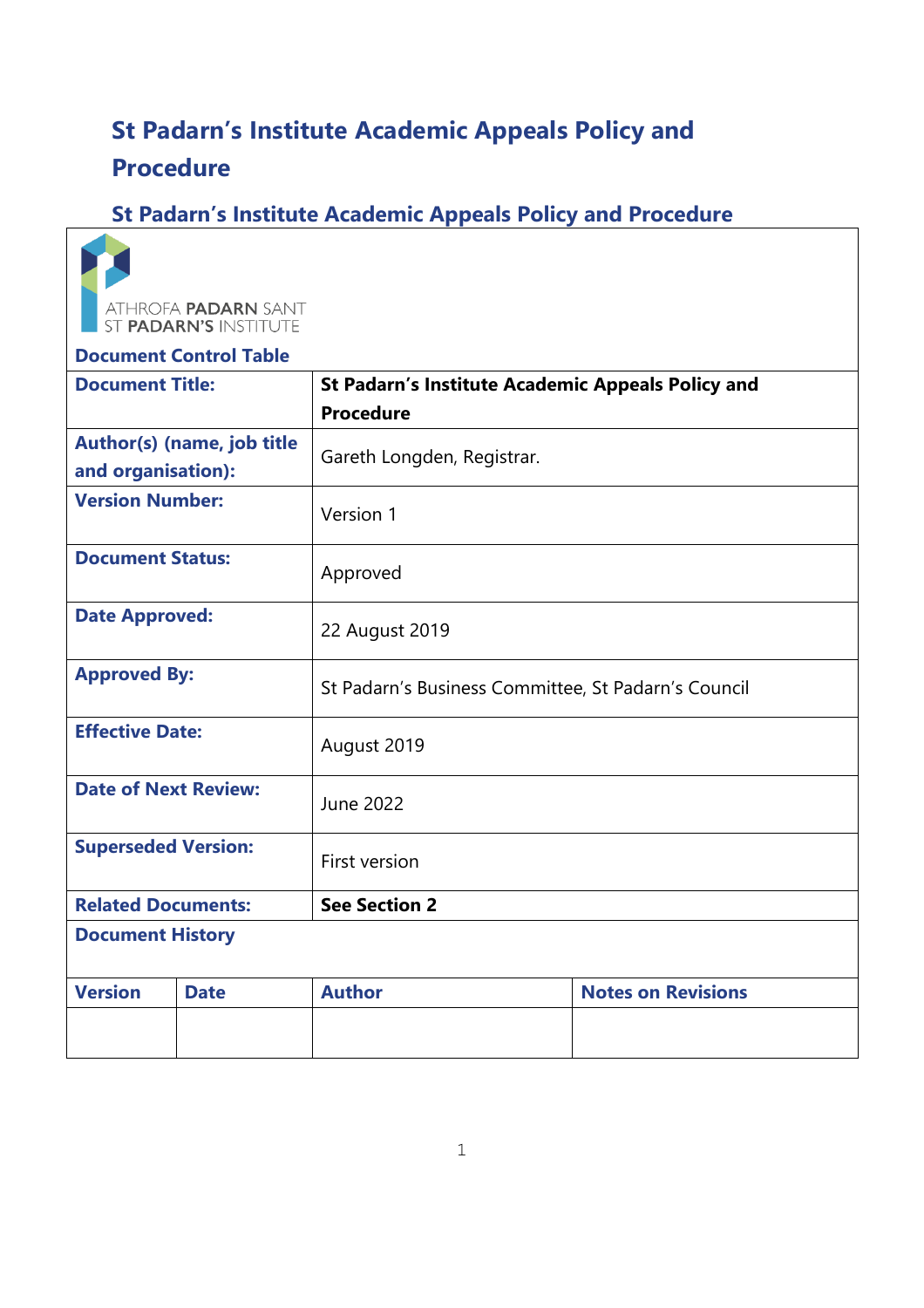# **St Padarn's Institute Academic Appeals Policy and Procedure**

## **St Padarn's Institute Academic Appeals Policy and Procedure**



## **Document Control Table Document Title: St Padarn's Institute Academic Appeals Policy and Procedure Author(s) (name, job title and organisation):** Gareth Longden, Registrar. **Version Number:** Version 1 **Document Status:** Approved **Date Approved:** 22 August 2019 **Approved By:** St Padarn's Business Committee, St Padarn's Council **Effective Date:** August 2019 **Date of Next Review:** June 2022 **Superseded Version:** First version **Related Documents:** See Section 2 **Document History Version** Date **Author Notes on Revisions**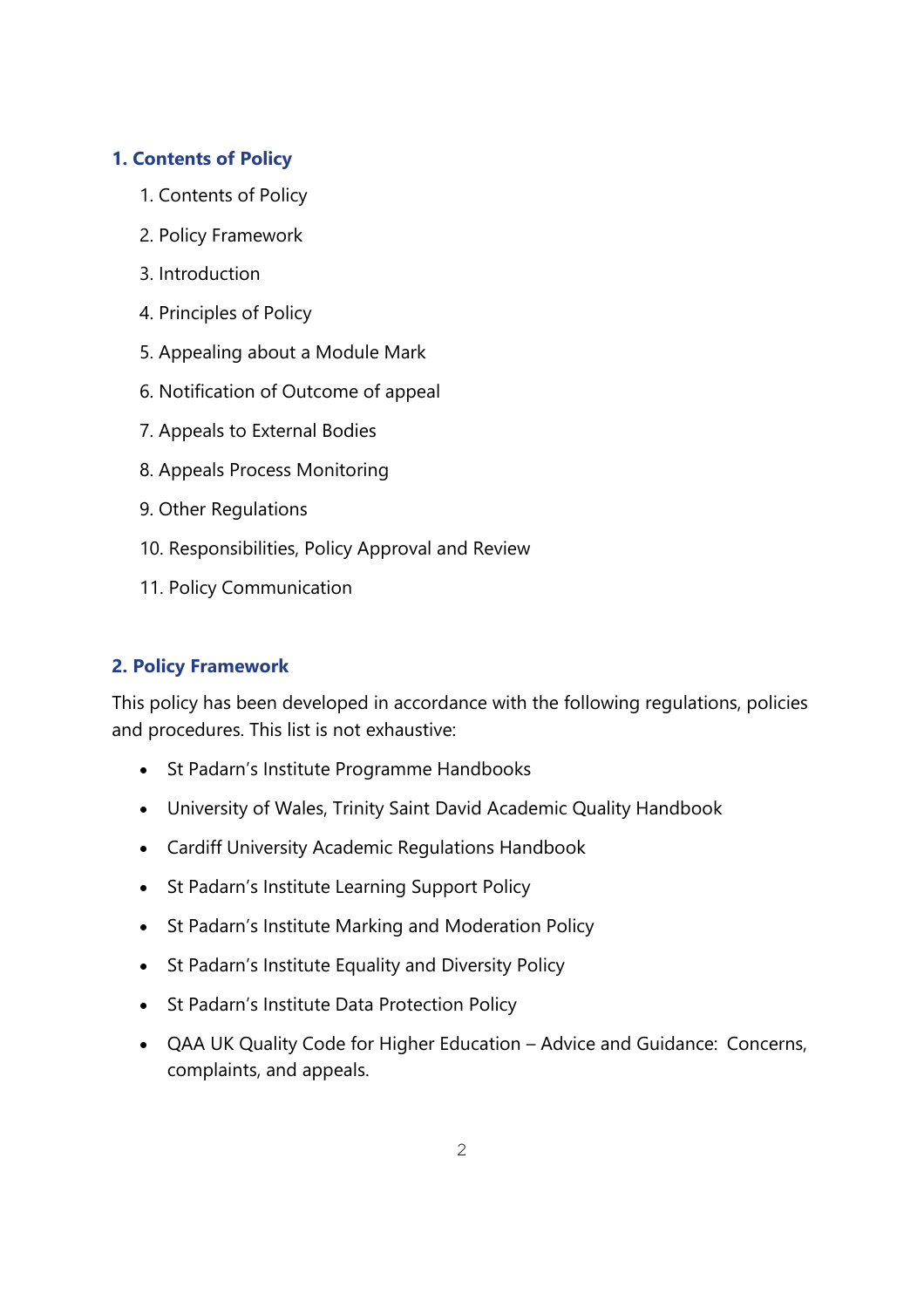## **1. Contents of Policy**

- 1. Contents of Policy
- 2. Policy Framework
- 3. Introduction
- 4. Principles of Policy
- 5. Appealing about a Module Mark
- 6. Notification of Outcome of appeal
- 7. Appeals to External Bodies
- 8. Appeals Process Monitoring
- 9. Other Regulations
- 10. Responsibilities, Policy Approval and Review
- 11. Policy Communication

## **2. Policy Framework**

This policy has been developed in accordance with the following regulations, policies and procedures. This list is not exhaustive:

- St Padarn's Institute Programme Handbooks
- University of Wales, Trinity Saint David Academic Quality Handbook
- Cardiff University Academic Regulations Handbook
- St Padarn's Institute Learning Support Policy
- St Padarn's Institute Marking and Moderation Policy
- St Padarn's Institute Equality and Diversity Policy
- St Padarn's Institute Data Protection Policy
- QAA UK Quality Code for Higher Education Advice and Guidance: Concerns, complaints, and appeals.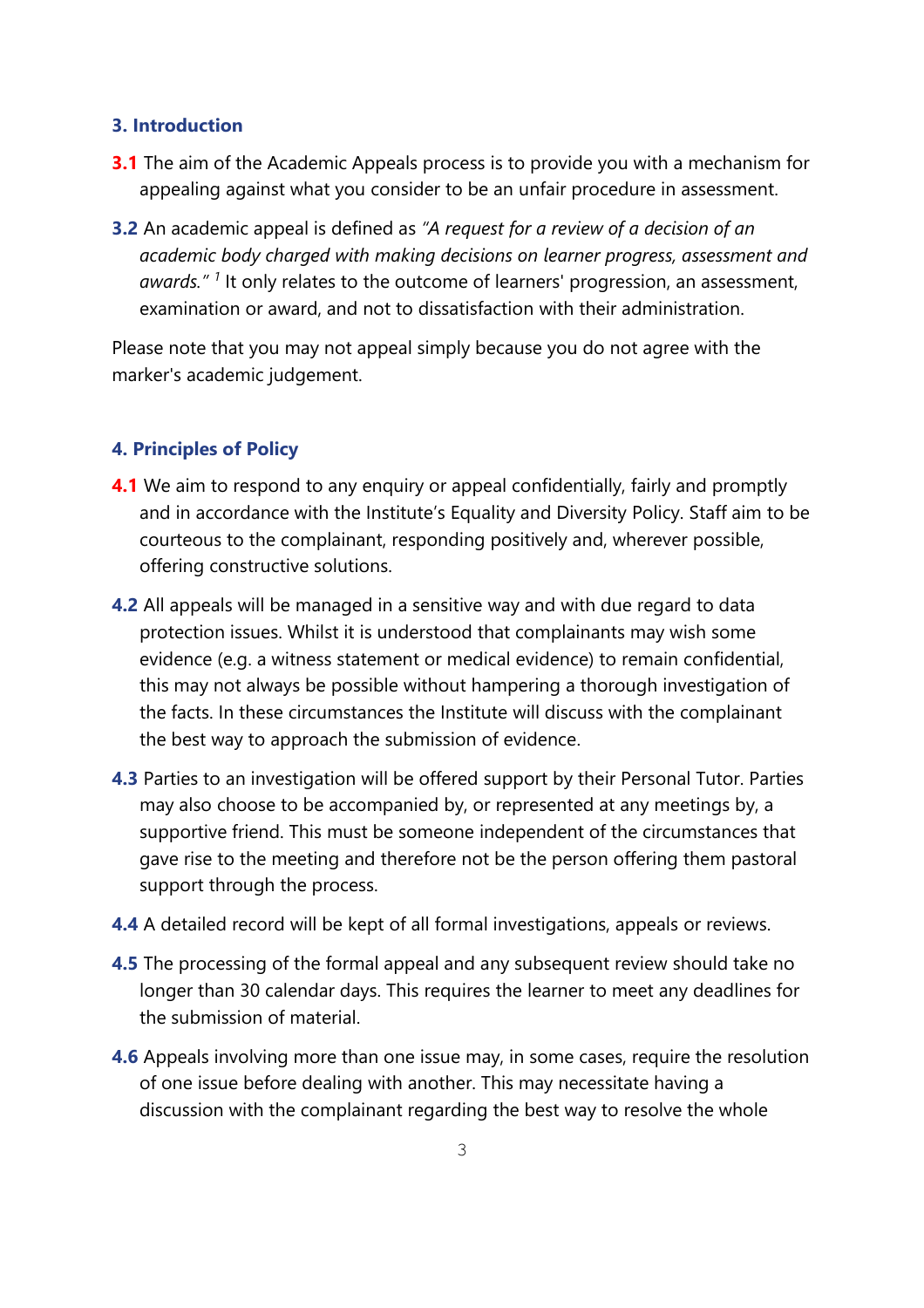#### **3. Introduction**

- **3.1** The aim of the Academic Appeals process is to provide you with a mechanism for appealing against what you consider to be an unfair procedure in assessment.
- **3.2** An academic appeal is defined as *"A request for a review of a decision of an academic body charged with making decisions on learner progress, assessment and awards." <sup>1</sup>* It only relates to the outcome of learners' progression, an assessment, examination or award, and not to dissatisfaction with their administration.

Please note that you may not appeal simply because you do not agree with the marker's academic judgement.

#### **4. Principles of Policy**

- **4.1** We aim to respond to any enquiry or appeal confidentially, fairly and promptly and in accordance with the Institute's Equality and Diversity Policy. Staff aim to be courteous to the complainant, responding positively and, wherever possible, offering constructive solutions.
- **4.2** All appeals will be managed in a sensitive way and with due regard to data protection issues. Whilst it is understood that complainants may wish some evidence (e.g. a witness statement or medical evidence) to remain confidential, this may not always be possible without hampering a thorough investigation of the facts. In these circumstances the Institute will discuss with the complainant the best way to approach the submission of evidence.
- **4.3** Parties to an investigation will be offered support by their Personal Tutor. Parties may also choose to be accompanied by, or represented at any meetings by, a supportive friend. This must be someone independent of the circumstances that gave rise to the meeting and therefore not be the person offering them pastoral support through the process.
- **4.4** A detailed record will be kept of all formal investigations, appeals or reviews.
- **4.5** The processing of the formal appeal and any subsequent review should take no longer than 30 calendar days. This requires the learner to meet any deadlines for the submission of material.
- **4.6** Appeals involving more than one issue may, in some cases, require the resolution of one issue before dealing with another. This may necessitate having a discussion with the complainant regarding the best way to resolve the whole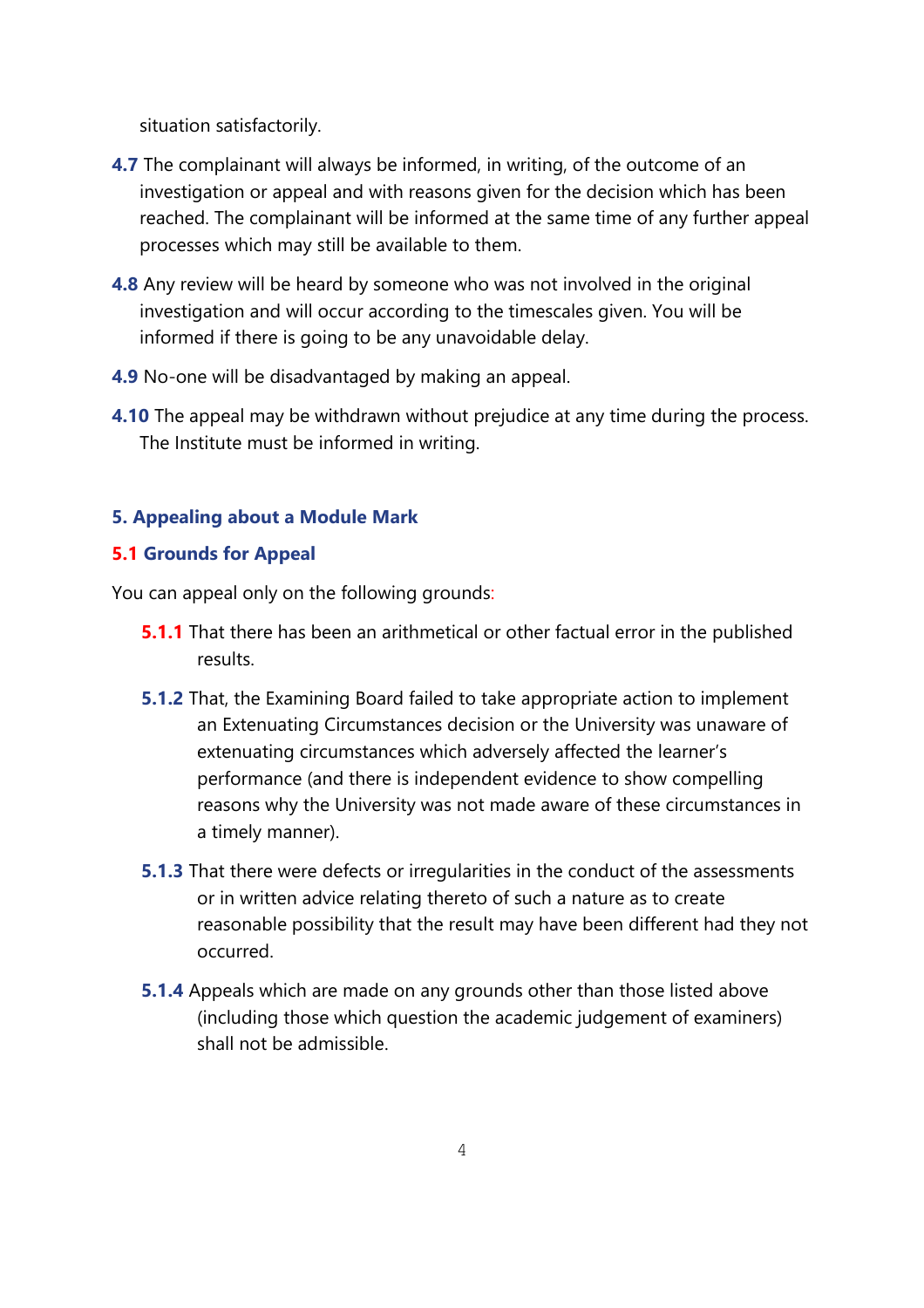situation satisfactorily.

- **4.7** The complainant will always be informed, in writing, of the outcome of an investigation or appeal and with reasons given for the decision which has been reached. The complainant will be informed at the same time of any further appeal processes which may still be available to them.
- **4.8** Any review will be heard by someone who was not involved in the original investigation and will occur according to the timescales given. You will be informed if there is going to be any unavoidable delay.
- **4.9** No-one will be disadvantaged by making an appeal.
- **4.10** The appeal may be withdrawn without prejudice at any time during the process. The Institute must be informed in writing.

## **5. Appealing about a Module Mark**

### **5.1 Grounds for Appeal**

You can appeal only on the following grounds:

- **5.1.1** That there has been an arithmetical or other factual error in the published results.
- **5.1.2** That, the Examining Board failed to take appropriate action to implement an Extenuating Circumstances decision or the University was unaware of extenuating circumstances which adversely affected the learner's performance (and there is independent evidence to show compelling reasons why the University was not made aware of these circumstances in a timely manner).
- **5.1.3** That there were defects or irregularities in the conduct of the assessments or in written advice relating thereto of such a nature as to create reasonable possibility that the result may have been different had they not occurred.
- **5.1.4** Appeals which are made on any grounds other than those listed above (including those which question the academic judgement of examiners) shall not be admissible.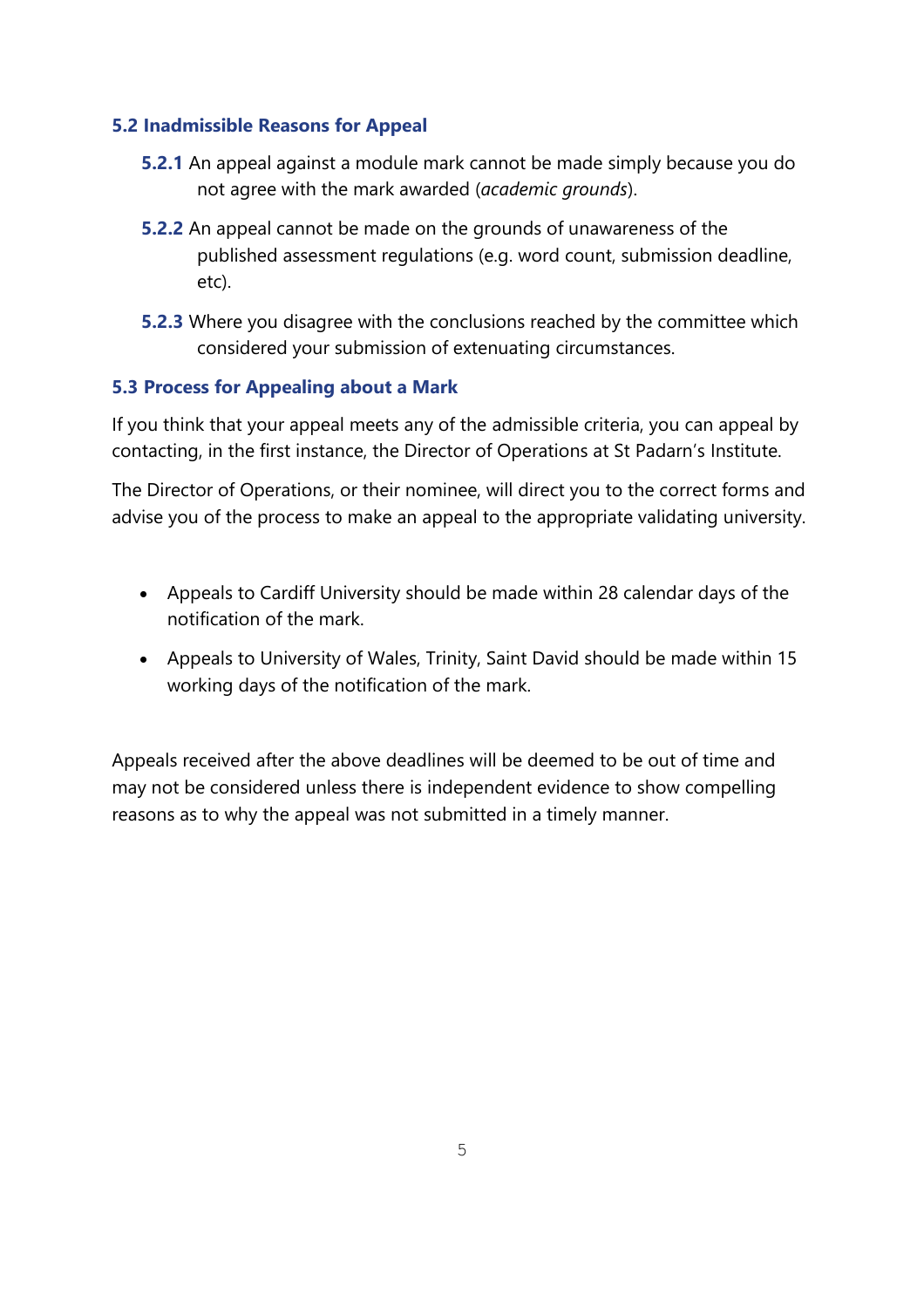## **5.2 Inadmissible Reasons for Appeal**

- **5.2.1** An appeal against a module mark cannot be made simply because you do not agree with the mark awarded (*academic grounds*).
- **5.2.2** An appeal cannot be made on the grounds of unawareness of the published assessment regulations (e.g. word count, submission deadline, etc).
- **5.2.3** Where you disagree with the conclusions reached by the committee which considered your submission of extenuating circumstances.

## **5.3 Process for Appealing about a Mark**

If you think that your appeal meets any of the admissible criteria, you can appeal by contacting, in the first instance, the Director of Operations at St Padarn's Institute.

The Director of Operations, or their nominee, will direct you to the correct forms and advise you of the process to make an appeal to the appropriate validating university.

- Appeals to Cardiff University should be made within 28 calendar days of the notification of the mark.
- Appeals to University of Wales, Trinity, Saint David should be made within 15 working days of the notification of the mark.

Appeals received after the above deadlines will be deemed to be out of time and may not be considered unless there is independent evidence to show compelling reasons as to why the appeal was not submitted in a timely manner.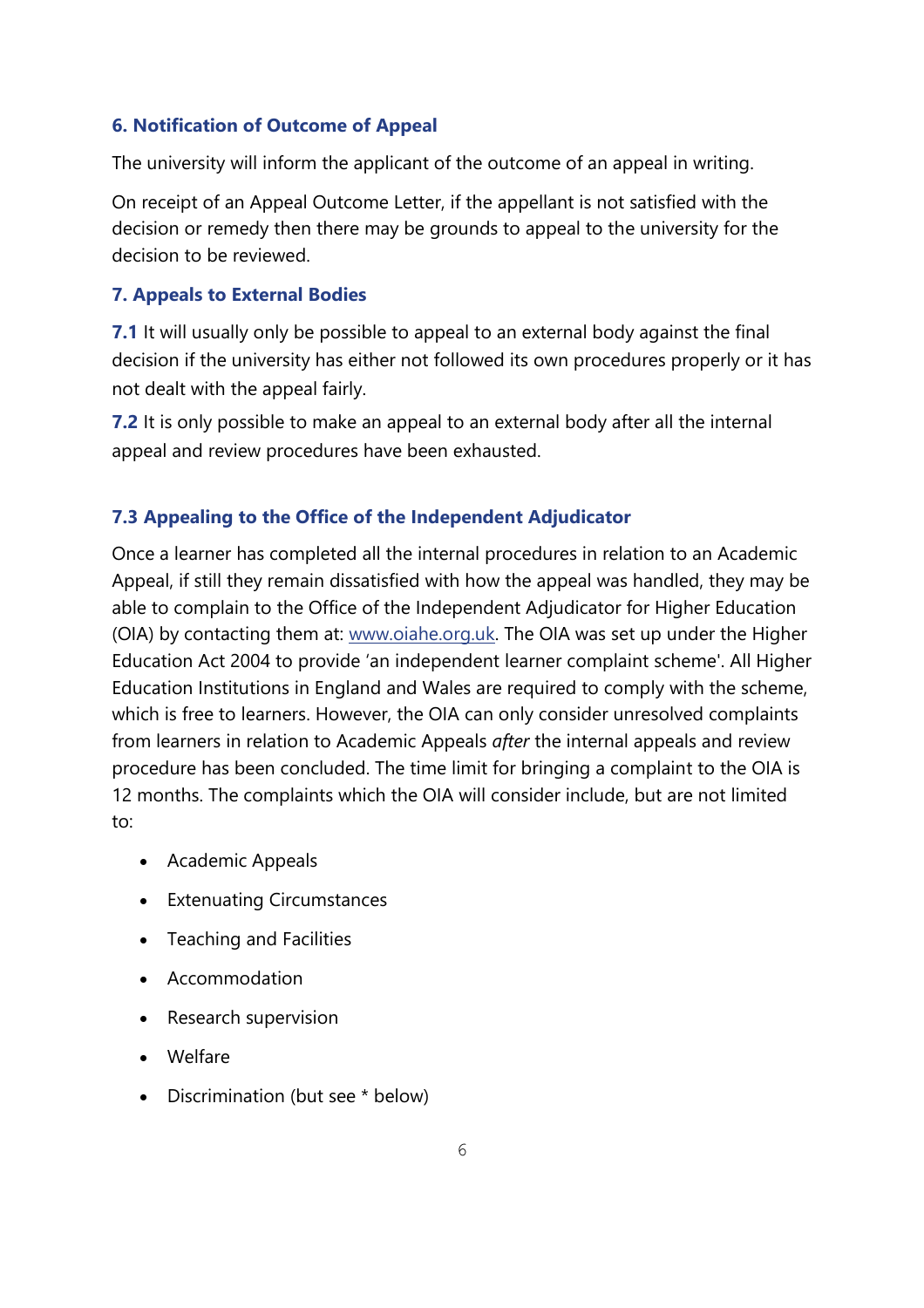#### **6. Notification of Outcome of Appeal**

The university will inform the applicant of the outcome of an appeal in writing.

On receipt of an Appeal Outcome Letter, if the appellant is not satisfied with the decision or remedy then there may be grounds to appeal to the university for the decision to be reviewed.

#### **7. Appeals to External Bodies**

**7.1** It will usually only be possible to appeal to an external body against the final decision if the university has either not followed its own procedures properly or it has not dealt with the appeal fairly.

**7.2** It is only possible to make an appeal to an external body after all the internal appeal and review procedures have been exhausted.

#### **7.3 Appealing to the Office of the Independent Adjudicator**

Once a learner has completed all the internal procedures in relation to an Academic Appeal, if still they remain dissatisfied with how the appeal was handled, they may be able to complain to the Office of the Independent Adjudicator for Higher Education (OIA) by contacting them at: [www.oiahe.org.uk. T](http://www.oiahe.org.uk/)he OIA was set up under the Higher Education Act 2004 to provide 'an independent learner complaint scheme'. All Higher Education Institutions in England and Wales are required to comply with the scheme, which is free to learners. However, the OIA can only consider unresolved complaints from learners in relation to Academic Appeals *after* the internal appeals and review procedure has been concluded. The time limit for bringing a complaint to the OIA is 12 months. The complaints which the OIA will consider include, but are not limited to:

- Academic Appeals
- Extenuating Circumstances
- Teaching and Facilities
- Accommodation
- Research supervision
- Welfare
- Discrimination (but see \* below)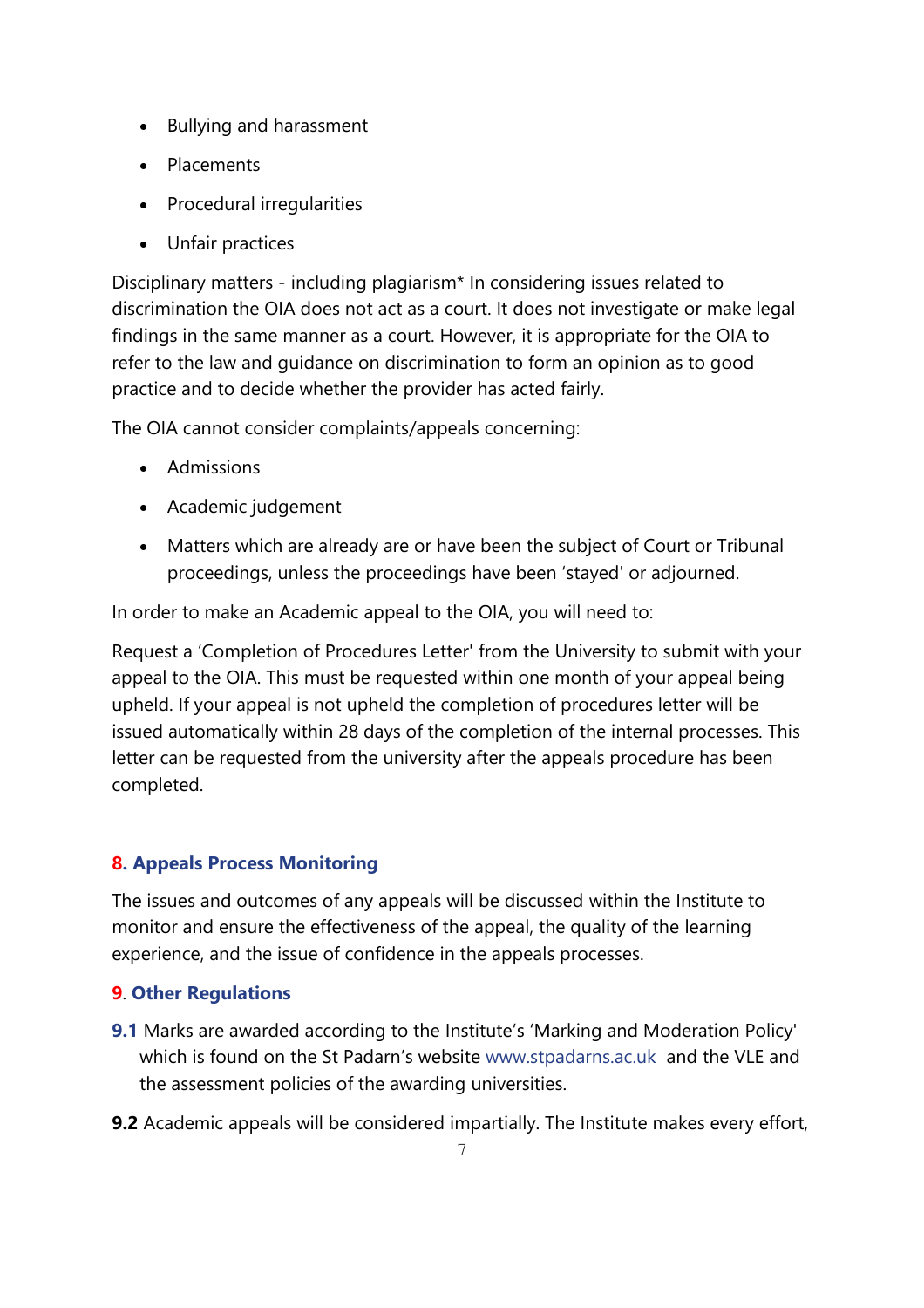- Bullying and harassment
- Placements
- Procedural irregularities
- Unfair practices

Disciplinary matters - including plagiarism\* In considering issues related to discrimination the OIA does not act as a court. It does not investigate or make legal findings in the same manner as a court. However, it is appropriate for the OIA to refer to the law and guidance on discrimination to form an opinion as to good practice and to decide whether the provider has acted fairly.

The OIA cannot consider complaints/appeals concerning:

- Admissions
- Academic judgement
- Matters which are already are or have been the subject of Court or Tribunal proceedings, unless the proceedings have been 'stayed' or adjourned.

In order to make an Academic appeal to the OIA, you will need to:

Request a 'Completion of Procedures Letter' from the University to submit with your appeal to the OIA. This must be requested within one month of your appeal being upheld. If your appeal is not upheld the completion of procedures letter will be issued automatically within 28 days of the completion of the internal processes. This letter can be requested from the university after the appeals procedure has been completed.

## **8. Appeals Process Monitoring**

The issues and outcomes of any appeals will be discussed within the Institute to monitor and ensure the effectiveness of the appeal, the quality of the learning experience, and the issue of confidence in the appeals processes.

## **9**. **Other Regulations**

- **9.1** Marks are awarded according to the Institute's 'Marking and Moderation Policy' which is found on the St Padarn's website [www.stpadarns.ac.uk](http://www.stpadarns.ac.uk/) and the VLE and the assessment policies of the awarding universities.
- **9.2** Academic appeals will be considered impartially. The Institute makes every effort,